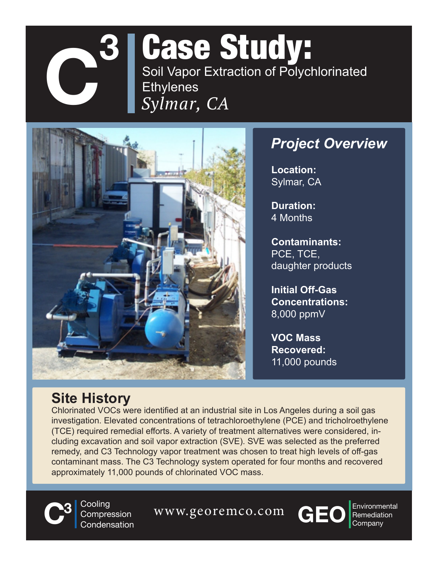

# *Sylmar, CA* Case Study: Soil Vapor Extraction of Polychlorinated **Ethylenes**



### *Project Overview*

**Location:**  Sylmar, CA

**Duration:**  4 Months

**Contaminants:**  PCE, TCE, daughter products

**Initial Off-Gas Concentrations:**  8,000 ppmV

**VOC Mass Recovered:**  11,000 pounds

#### **Site History**

Chlorinated VOCs were identified at an industrial site in Los Angeles during a soil gas investigation. Elevated concentrations of tetrachloroethylene (PCE) and tricholroethylene (TCE) required remedial efforts. A variety of treatment alternatives were considered, including excavation and soil vapor extraction (SVE). SVE was selected as the preferred remedy, and C3 Technology vapor treatment was chosen to treat high levels of off-gas contaminant mass. The C3 Technology system operated for four months and recovered approximately 11,000 pounds of chlorinated VOC mass.



**3** Cooling Compression Condensation

**C**<sup>3</sup> Cooling Compression WWW.georemco.com **CEO** Environment Condensation



Environmental<br>Remediation<br>Company